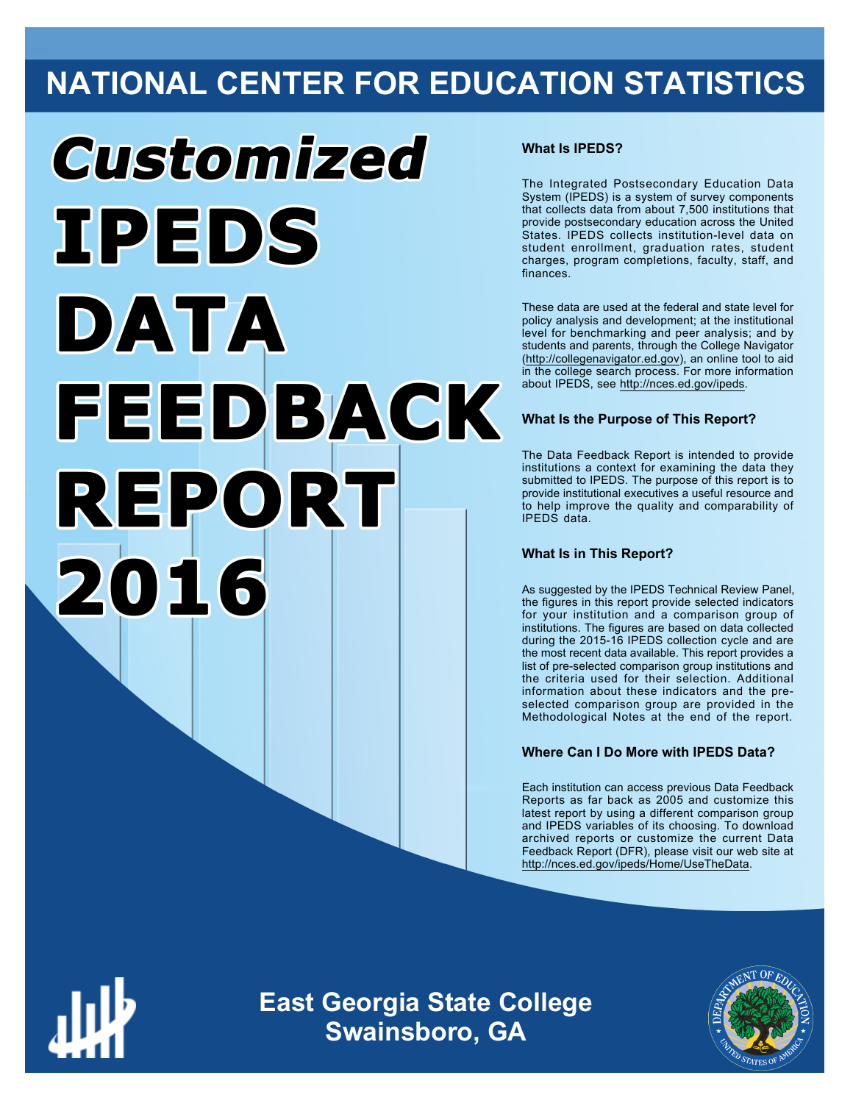## **NATIONAL CENTER FOR EDUCATION STATISTICS**

# Customized **TPEDS** DATA FEEDBACK REPORT 2016

#### **What Is IPEDS?**

The Integrated Postsecondary Education Data System (IPEDS) is a system of survey components that collects data from about 7,500 institutions that provide postsecondary education across the United States. IPEDS collects institution-level data on student enrollment, graduation rates, student charges, program completions, faculty, staff, and finances.

These data are used at the federal and state level for policy analysis and development; at the institutional level for benchmarking and peer analysis; and by students and parents, through the College Navigator ([http://collegenavigator.ed.gov\)](http://collegenavigator.ed.gov), an online tool to aid in the college search process. For more information about IPEDS, see [http://nces.ed.gov/ipeds.](http://nces.ed.gov/ipeds)

#### **What Is the Purpose of This Report?**

The Data Feedback Report is intended to provide institutions a context for examining the data they submitted to IPEDS. The purpose of this report is to provide institutional executives a useful resource and to help improve the quality and comparability of IPEDS data.

#### **What Is in This Report?**

As suggested by the IPEDS Technical Review Panel, the figures in this report provide selected indicators for your institution and a comparison group of institutions. The figures are based on data collected during the 2015-16 IPEDS collection cycle and are the most recent data available. This report provides a list of pre-selected comparison group institutions and the criteria used for their selection. Additional information about these indicators and the preselected comparison group are provided in the Methodological Notes at the end of the report.

#### **Where Can I Do More with IPEDS Data?**

Each institution can access previous Data Feedback Reports as far back as 2005 and customize this latest report by using a different comparison group and IPEDS variables of its choosing. To download archived reports or customize the current Data Feedback Report (DFR), please visit our web site at [http://nces.ed.gov/ipeds/Home/UseTheData.](http://nces.ed.gov/ipeds/Home/UseTheData)



**East Georgia State College Swainsboro, GA**

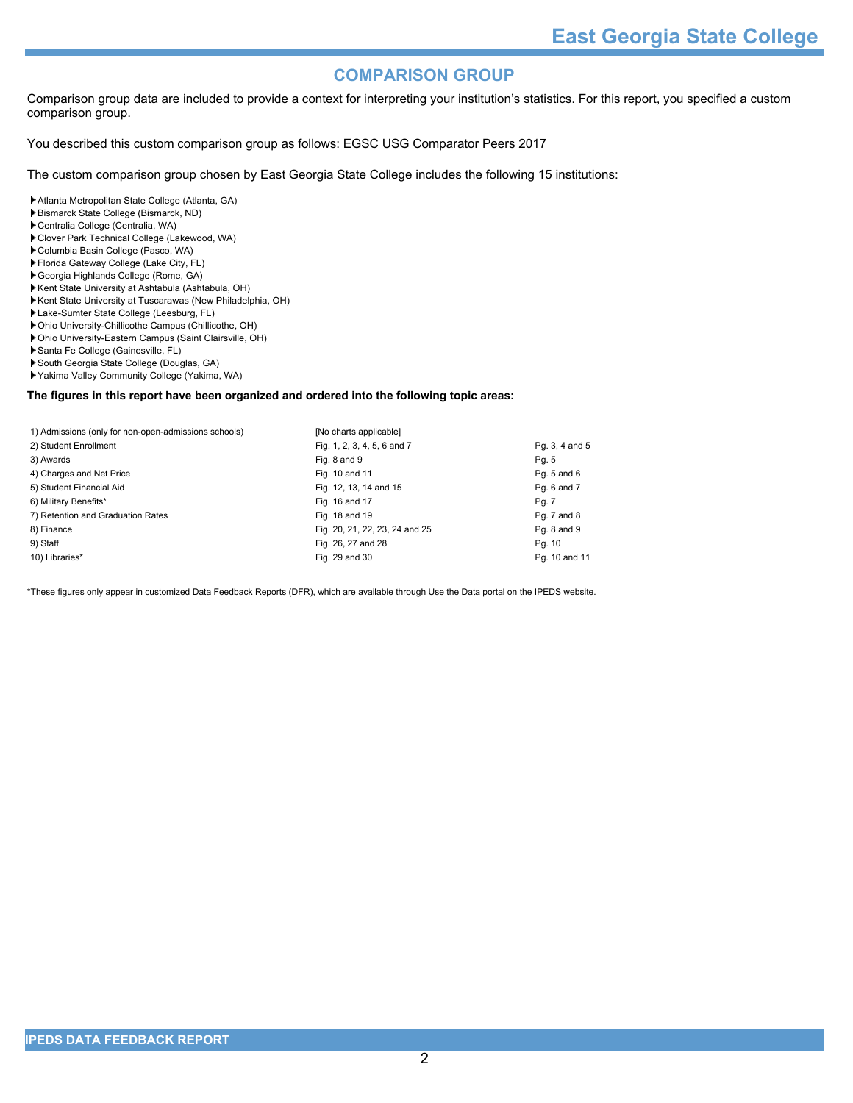#### **COMPARISON GROUP**

Comparison group data are included to provide a context for interpreting your institution's statistics. For this report, you specified a custom comparison group.

You described this custom comparison group as follows: EGSC USG Comparator Peers 2017

The custom comparison group chosen by East Georgia State College includes the following 15 institutions:

Atlanta Metropolitan State College (Atlanta, GA)

- Bismarck State College (Bismarck, ND)
- Centralia College (Centralia, WA)
- Clover Park Technical College (Lakewood, WA)
- Columbia Basin College (Pasco, WA)
- Florida Gateway College (Lake City, FL)
- Georgia Highlands College (Rome, GA)
- Kent State University at Ashtabula (Ashtabula, OH)
- Kent State University at Tuscarawas (New Philadelphia, OH)
- Lake-Sumter State College (Leesburg, FL)
- Ohio University-Chillicothe Campus (Chillicothe, OH)
- Ohio University-Eastern Campus (Saint Clairsville, OH)
- Santa Fe College (Gainesville, FL)
- South Georgia State College (Douglas, GA) Yakima Valley Community College (Yakima, WA)

#### **The figures in this report have been organized and ordered into the following topic areas:**

| 1) Admissions (only for non-open-admissions schools) | [No charts applicable]         |                |
|------------------------------------------------------|--------------------------------|----------------|
| 2) Student Enrollment                                | Fig. 1, 2, 3, 4, 5, 6 and 7    | Pg. 3, 4 and 5 |
| 3) Awards                                            | Fig. 8 and 9                   | Pg. 5          |
| 4) Charges and Net Price                             | Fig. 10 and 11                 | Pg. 5 and 6    |
| 5) Student Financial Aid                             | Fig. 12, 13, 14 and 15         | Pq. 6 and 7    |
| 6) Military Benefits*                                | Fig. 16 and 17                 | Pg. 7          |
| 7) Retention and Graduation Rates                    | Fig. 18 and 19                 | Pg. 7 and 8    |
| 8) Finance                                           | Fig. 20, 21, 22, 23, 24 and 25 | Pg. 8 and 9    |
| 9) Staff                                             | Fig. 26, 27 and 28             | Pg. 10         |
| 10) Libraries*                                       | Fig. 29 and 30                 | Pg. 10 and 11  |

\*These figures only appear in customized Data Feedback Reports (DFR), which are available through Use the Data portal on the IPEDS website.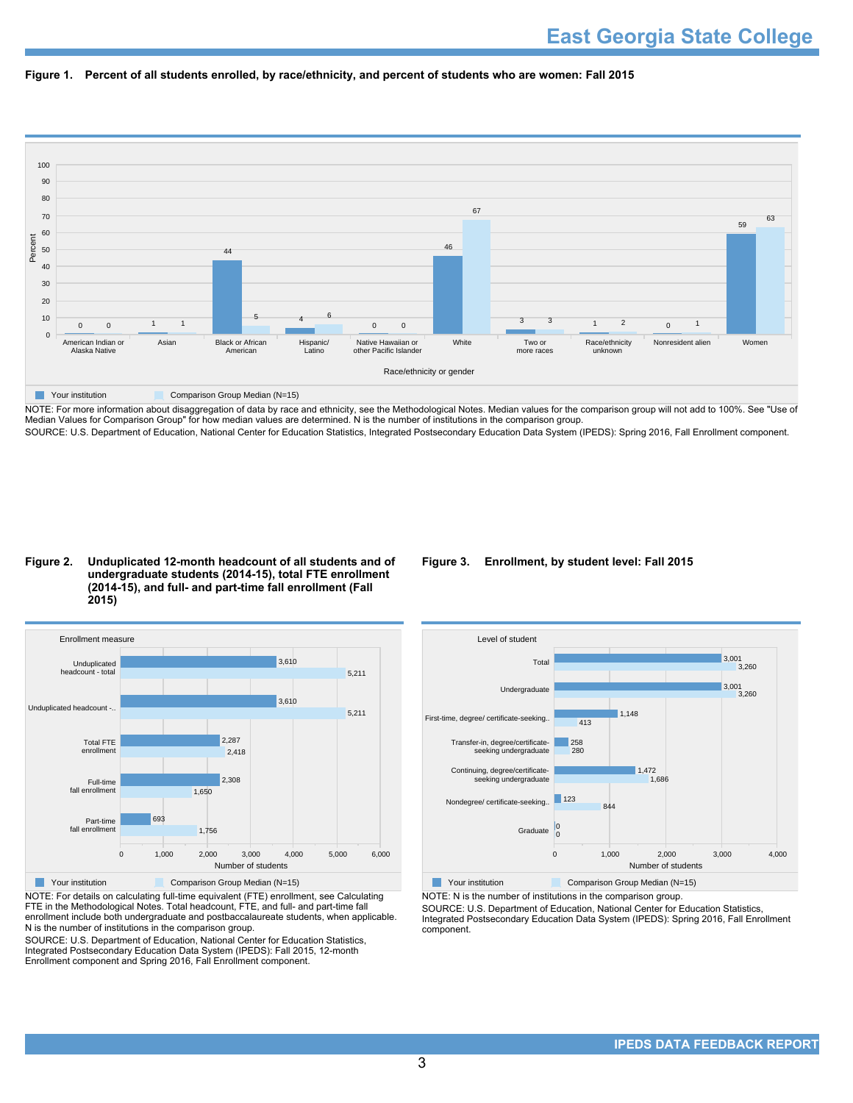



NOTE: For more information about disaggregation of data by race and ethnicity, see the Methodological Notes. Median values for the comparison group will not add to 100%. See "Use of Median Values for Comparison Group" for how median values are determined. N is the number of institutions in the comparison group. SOURCE: U.S. Department of Education, National Center for Education Statistics, Integrated Postsecondary Education Data System (IPEDS): Spring 2016, Fall Enrollment component.

#### **Figure 2. Unduplicated 12-month headcount of all students and of undergraduate students (2014-15), total FTE enrollment (2014-15), and full- and part-time fall enrollment (Fall 2015)**



NOTE: For details on calculating full-time equivalent (FTE) enrollment, see Calculating FTE in the Methodological Notes. Total headcount, FTE, and full- and part-time fall enrollment include both undergraduate and postbaccalaureate students, when applicable. N is the number of institutions in the comparison group.

SOURCE: U.S. Department of Education, National Center for Education Statistics, Integrated Postsecondary Education Data System (IPEDS): Fall 2015, 12-month Enrollment component and Spring 2016, Fall Enrollment component.

#### **Figure 3. Enrollment, by student level: Fall 2015**



NOTE: N is the number of institutions in the comparison group.

SOURCE: U.S. Department of Education, National Center for Education Statistics, Integrated Postsecondary Education Data System (IPEDS): Spring 2016, Fall Enrollment component.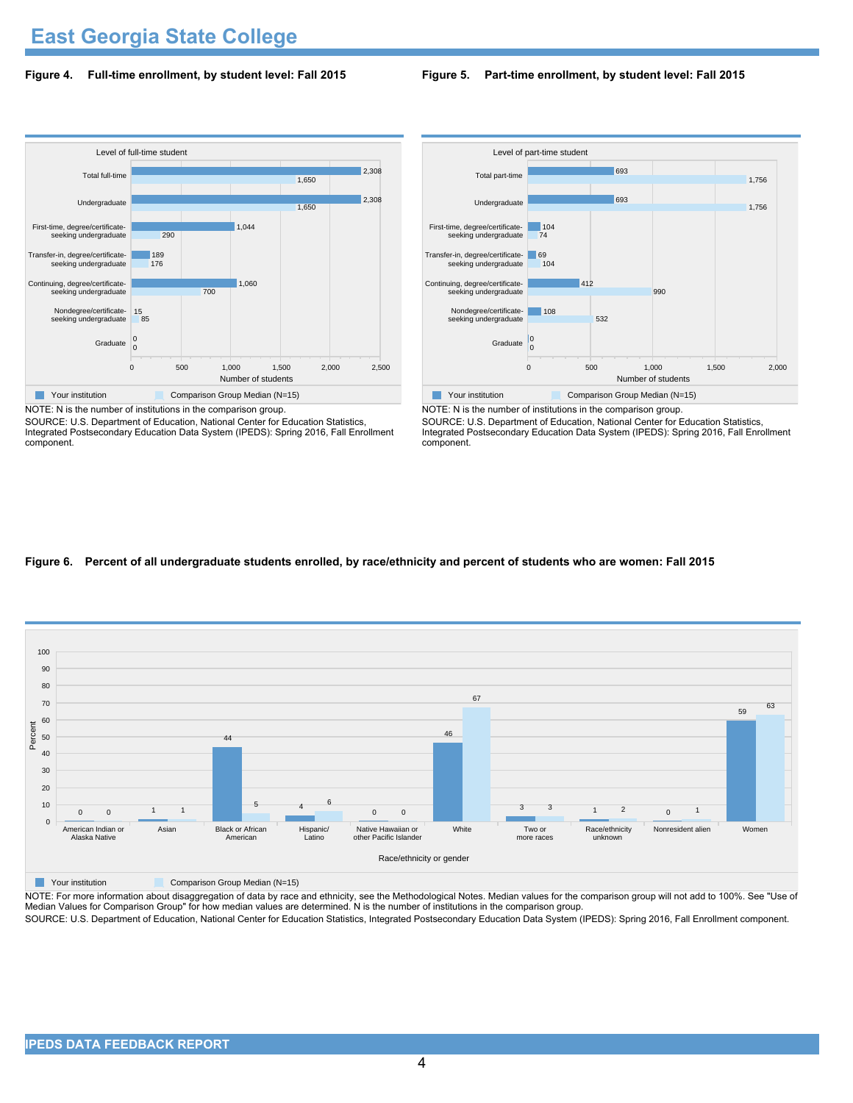## **East Georgia State College**

#### **Figure 4. Full-time enrollment, by student level: Fall 2015**

#### **Figure 5. Part-time enrollment, by student level: Fall 2015**



NOTE: N is the number of institutions in the comparison group.

SOURCE: U.S. Department of Education, National Center for Education Statistics, Integrated Postsecondary Education Data System (IPEDS): Spring 2016, Fall Enrollment component.



NOTE: N is the number of institutions in the comparison group. SOURCE: U.S. Department of Education, National Center for Education Statistics, Integrated Postsecondary Education Data System (IPEDS): Spring 2016, Fall Enrollment component.

#### **Figure 6. Percent of all undergraduate students enrolled, by race/ethnicity and percent of students who are women: Fall 2015**



**The Comparison Group Median (N=15)** Comparison Group Median (N=15)

NOTE: For more information about disaggregation of data by race and ethnicity, see the Methodological Notes. Median values for the comparison group will not add to 100%. See "Use of Median Values for Comparison Group" for how median values are determined. N is the number of institutions in the comparison group. SOURCE: U.S. Department of Education, National Center for Education Statistics, Integrated Postsecondary Education Data System (IPEDS): Spring 2016, Fall Enrollment component.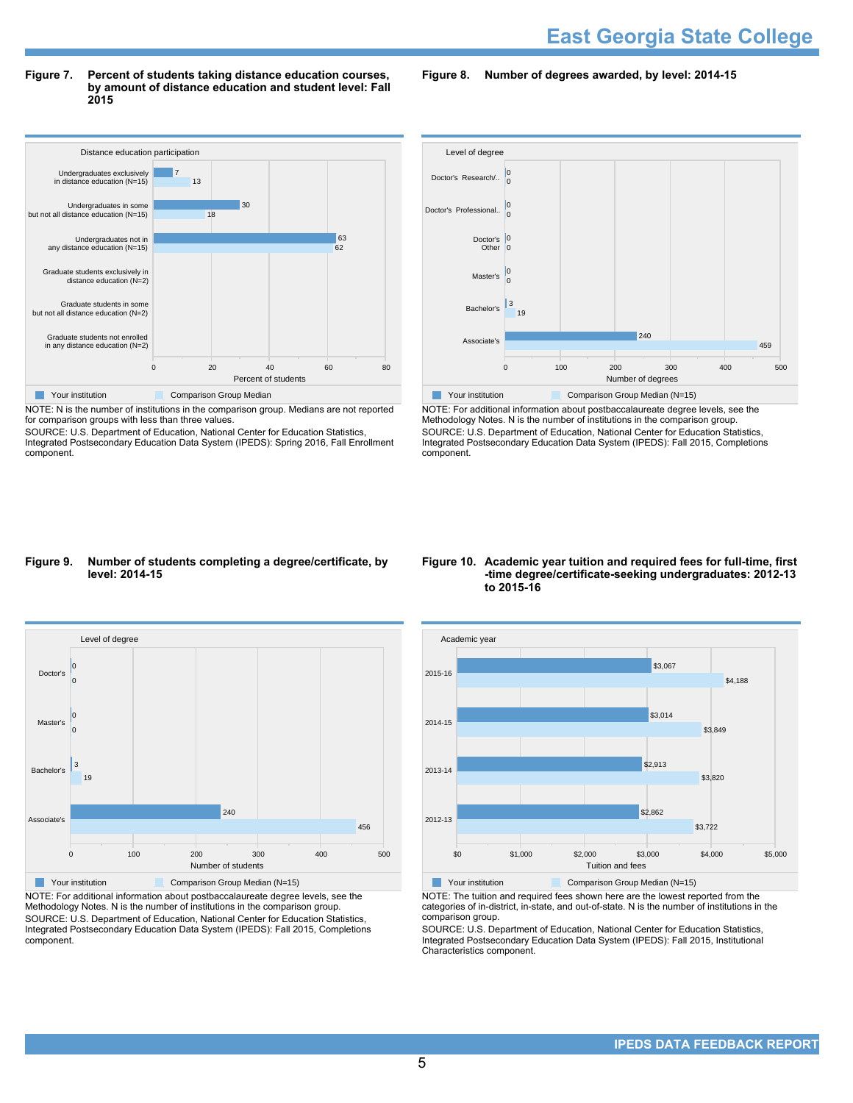#### **Figure 7. Percent of students taking distance education courses, by amount of distance education and student level: Fall 2015**

**Figure 8. Number of degrees awarded, by level: 2014-15**



NOTE: N is the number of institutions in the comparison group. Medians are not reported for comparison groups with less than three values.

SOURCE: U.S. Department of Education, National Center for Education Statistics, Integrated Postsecondary Education Data System (IPEDS): Spring 2016, Fall Enrollment component.



NOTE: For additional information about postbaccalaureate degree levels, see the Methodology Notes. N is the number of institutions in the comparison group. SOURCE: U.S. Department of Education, National Center for Education Statistics, Integrated Postsecondary Education Data System (IPEDS): Fall 2015, Completions component.

#### **Figure 9. Number of students completing a degree/certificate, by level: 2014-15**



NOTE: For additional information about postbaccalaureate degree levels, see the Methodology Notes. N is the number of institutions in the comparison group. SOURCE: U.S. Department of Education, National Center for Education Statistics, Integrated Postsecondary Education Data System (IPEDS): Fall 2015, Completions component.

Associate's

Bachelor's

 $19$ 3

0 0

0 0

Master's

Doctor's

#### **Figure 10. Academic year tuition and required fees for full-time, first -time degree/certificate-seeking undergraduates: 2012-13 to 2015-16**



Your institution Comparison Group Median (N=15)

NOTE: The tuition and required fees shown here are the lowest reported from the categories of in-district, in-state, and out-of-state. N is the number of institutions in the comparison group.

SOURCE: U.S. Department of Education, National Center for Education Statistics, Integrated Postsecondary Education Data System (IPEDS): Fall 2015, Institutional Characteristics component.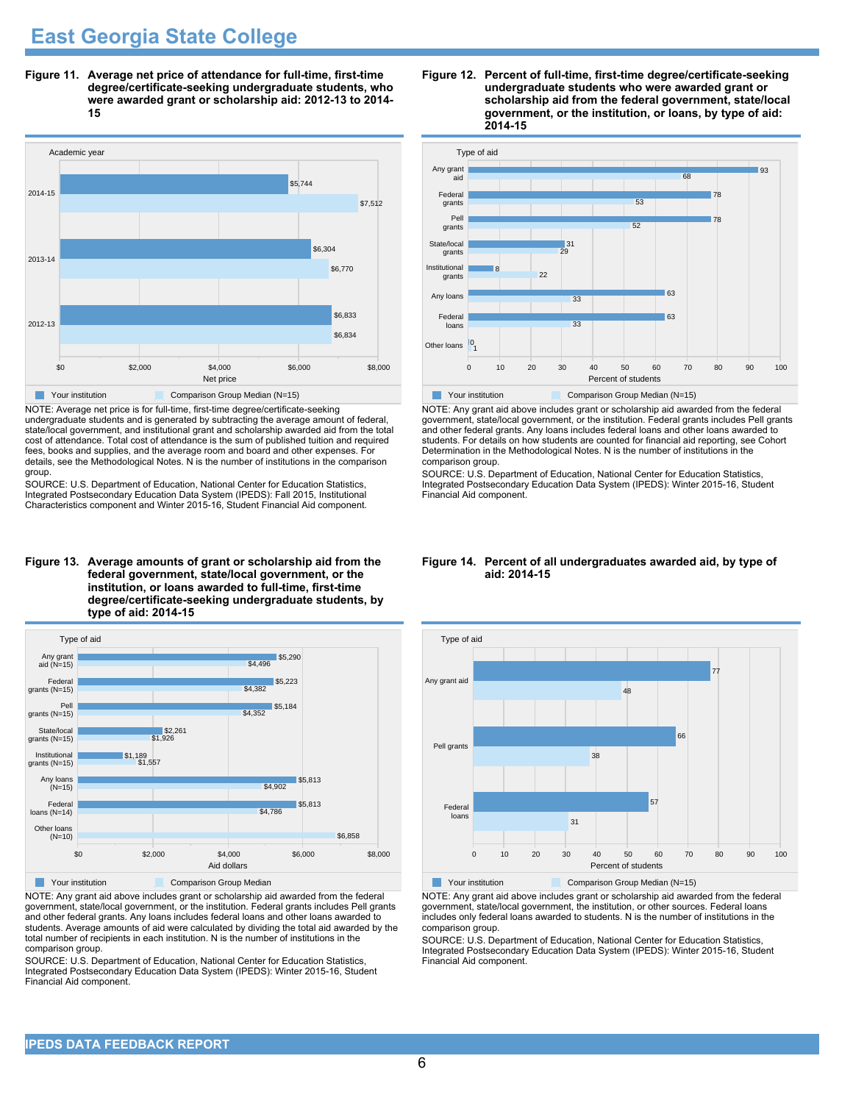## **East Georgia State College**

**Figure 11. Average net price of attendance for full-time, first-time degree/certificate-seeking undergraduate students, who were awarded grant or scholarship aid: 2012-13 to 2014- 15**



NOTE: Average net price is for full-time, first-time degree/certificate-seeking undergraduate students and is generated by subtracting the average amount of federal, state/local government, and institutional grant and scholarship awarded aid from the total cost of attendance. Total cost of attendance is the sum of published tuition and required fees, books and supplies, and the average room and board and other expenses. For details, see the Methodological Notes. N is the number of institutions in the comparison group.

SOURCE: U.S. Department of Education, National Center for Education Statistics, Integrated Postsecondary Education Data System (IPEDS): Fall 2015, Institutional Characteristics component and Winter 2015-16, Student Financial Aid component.

#### **Figure 13. Average amounts of grant or scholarship aid from the federal government, state/local government, or the institution, or loans awarded to full-time, first-time degree/certificate-seeking undergraduate students, by type of aid: 2014-15**



NOTE: Any grant aid above includes grant or scholarship aid awarded from the federal government, state/local government, or the institution. Federal grants includes Pell grants and other federal grants. Any loans includes federal loans and other loans awarded to students. Average amounts of aid were calculated by dividing the total aid awarded by the total number of recipients in each institution. N is the number of institutions in the comparison group.

SOURCE: U.S. Department of Education, National Center for Education Statistics, Integrated Postsecondary Education Data System (IPEDS): Winter 2015-16, Student Financial Aid component.





NOTE: Any grant aid above includes grant or scholarship aid awarded from the federal government, state/local government, or the institution. Federal grants includes Pell grants and other federal grants. Any loans includes federal loans and other loans awarded to students. For details on how students are counted for financial aid reporting, see Cohort Determination in the Methodological Notes. N is the number of institutions in the comparison group.

SOURCE: U.S. Department of Education, National Center for Education Statistics, Integrated Postsecondary Education Data System (IPEDS): Winter 2015-16, Student Financial Aid component.

#### **Figure 14. Percent of all undergraduates awarded aid, by type of aid: 2014-15**



NOTE: Any grant aid above includes grant or scholarship aid awarded from the federal government, state/local government, the institution, or other sources. Federal loans includes only federal loans awarded to students. N is the number of institutions in the comparison group.

SOURCE: U.S. Department of Education, National Center for Education Statistics, Integrated Postsecondary Education Data System (IPEDS): Winter 2015-16, Student Financial Aid component.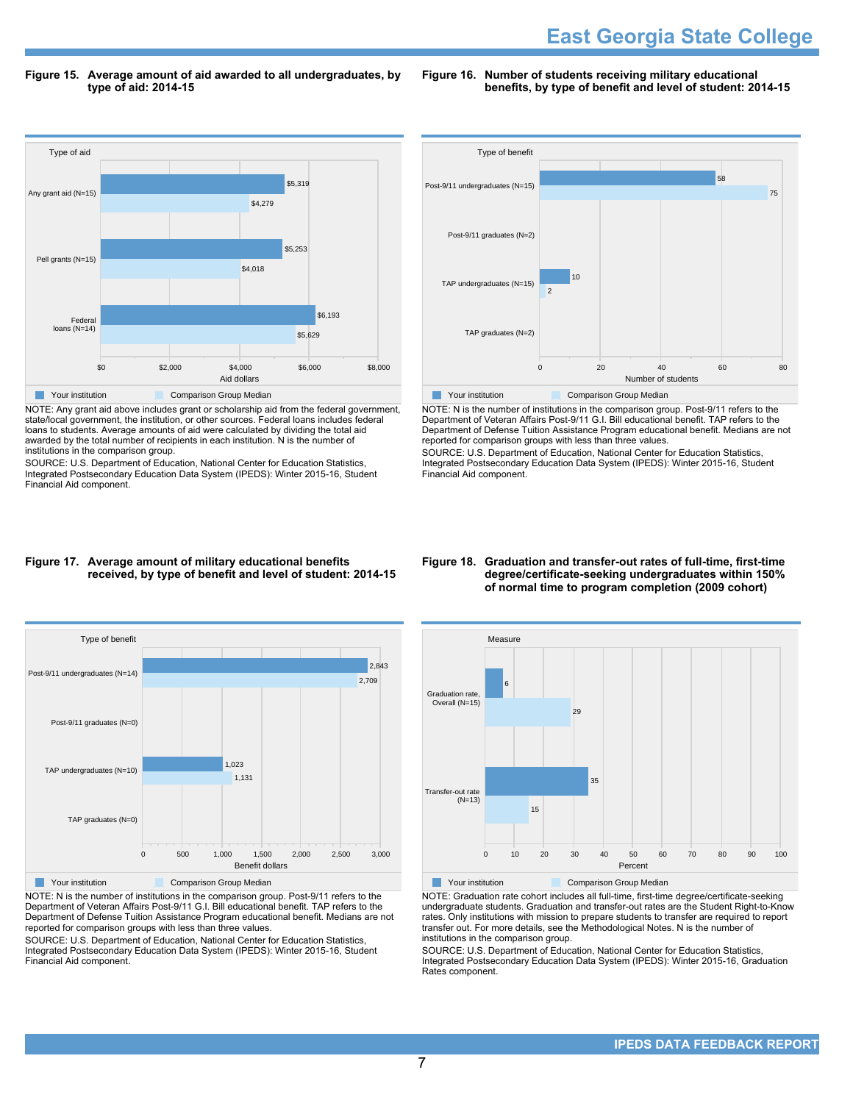**Figure 15. Average amount of aid awarded to all undergraduates, by type of aid: 2014-15**

**Figure 16. Number of students receiving military educational benefits, by type of benefit and level of student: 2014-15**



NOTE: Any grant aid above includes grant or scholarship aid from the federal government, state/local government, the institution, or other sources. Federal loans includes federal loans to students. Average amounts of aid were calculated by dividing the total aid awarded by the total number of recipients in each institution. N is the number of institutions in the comparison group.

SOURCE: U.S. Department of Education, National Center for Education Statistics, Integrated Postsecondary Education Data System (IPEDS): Winter 2015-16, Student Financial Aid component.



NOTE: N is the number of institutions in the comparison group. Post-9/11 refers to the Department of Veteran Affairs Post-9/11 G.I. Bill educational benefit. TAP refers to the Department of Defense Tuition Assistance Program educational benefit. Medians are not reported for comparison groups with less than three values.

SOURCE: U.S. Department of Education, National Center for Education Statistics, Integrated Postsecondary Education Data System (IPEDS): Winter 2015-16, Student Financial Aid component.

**Figure 18. Graduation and transfer-out rates of full-time, first-time**

**degree/certificate-seeking undergraduates within 150% of normal time to program completion (2009 cohort)**



Post-9/11 graduates (N=0)

#### **Figure 17. Average amount of military educational benefits received, by type of benefit and level of student: 2014-15**



Your institution **Comparison Group Median** 

NOTE: Graduation rate cohort includes all full-time, first-time degree/certificate-seeking undergraduate students. Graduation and transfer-out rates are the Student Right-to-Know rates. Only institutions with mission to prepare students to transfer are required to report transfer out. For more details, see the Methodological Notes. N is the number of institutions in the comparison group.

SOURCE: U.S. Department of Education, National Center for Education Statistics, Integrated Postsecondary Education Data System (IPEDS): Winter 2015-16, Graduation Rates component.



Department of Veteran Affairs Post-9/11 G.I. Bill educational benefit. TAP refers to the Department of Defense Tuition Assistance Program educational benefit. Medians are not reported for comparison groups with less than three values.

SOURCE: U.S. Department of Education, National Center for Education Statistics, Integrated Postsecondary Education Data System (IPEDS): Winter 2015-16, Student Financial Aid component.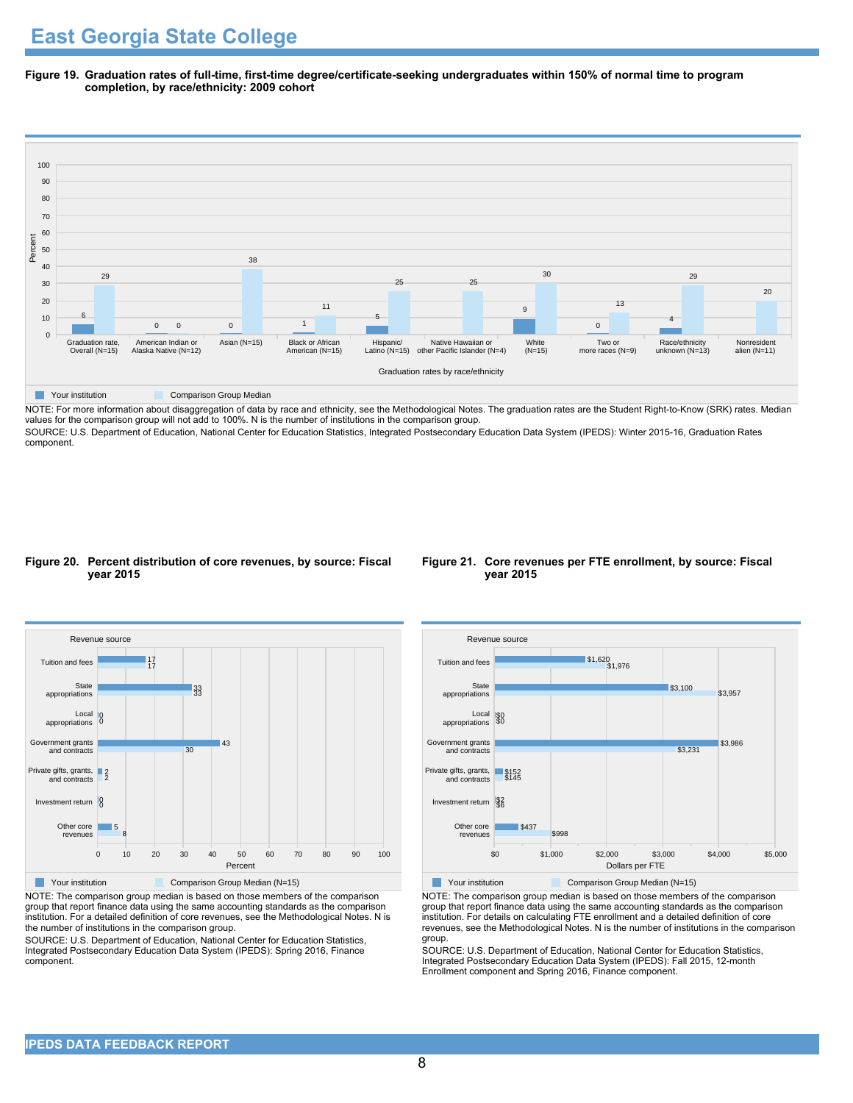**Figure 19. Graduation rates of full-time, first-time degree/certificate-seeking undergraduates within 150% of normal time to program completion, by race/ethnicity: 2009 cohort**



NOTE: For more information about disaggregation of data by race and ethnicity, see the Methodological Notes. The graduation rates are the Student Right-to-Know (SRK) rates. Median values for the comparison group will not add to 100%. N is the number of institutions in the comparison group.

SOURCE: U.S. Department of Education, National Center for Education Statistics, Integrated Postsecondary Education Data System (IPEDS): Winter 2015-16, Graduation Rates component.

#### **Figure 20. Percent distribution of core revenues, by source: Fiscal year 2015**

![](_page_7_Figure_6.jpeg)

![](_page_7_Figure_7.jpeg)

NOTE: The comparison group median is based on those members of the comparison group that report finance data using the same accounting standards as the comparison institution. For a detailed definition of core revenues, see the Methodological Notes. N is the number of institutions in the comparison group.

SOURCE: U.S. Department of Education, National Center for Education Statistics, Integrated Postsecondary Education Data System (IPEDS): Spring 2016, Finance component.

![](_page_7_Figure_10.jpeg)

Your institution Comparison Group Median (N=15)

NOTE: The comparison group median is based on those members of the comparison group that report finance data using the same accounting standards as the comparison institution. For details on calculating FTE enrollment and a detailed definition of core revenues, see the Methodological Notes. N is the number of institutions in the comparison group.

SOURCE: U.S. Department of Education, National Center for Education Statistics, Integrated Postsecondary Education Data System (IPEDS): Fall 2015, 12-month Enrollment component and Spring 2016, Finance component.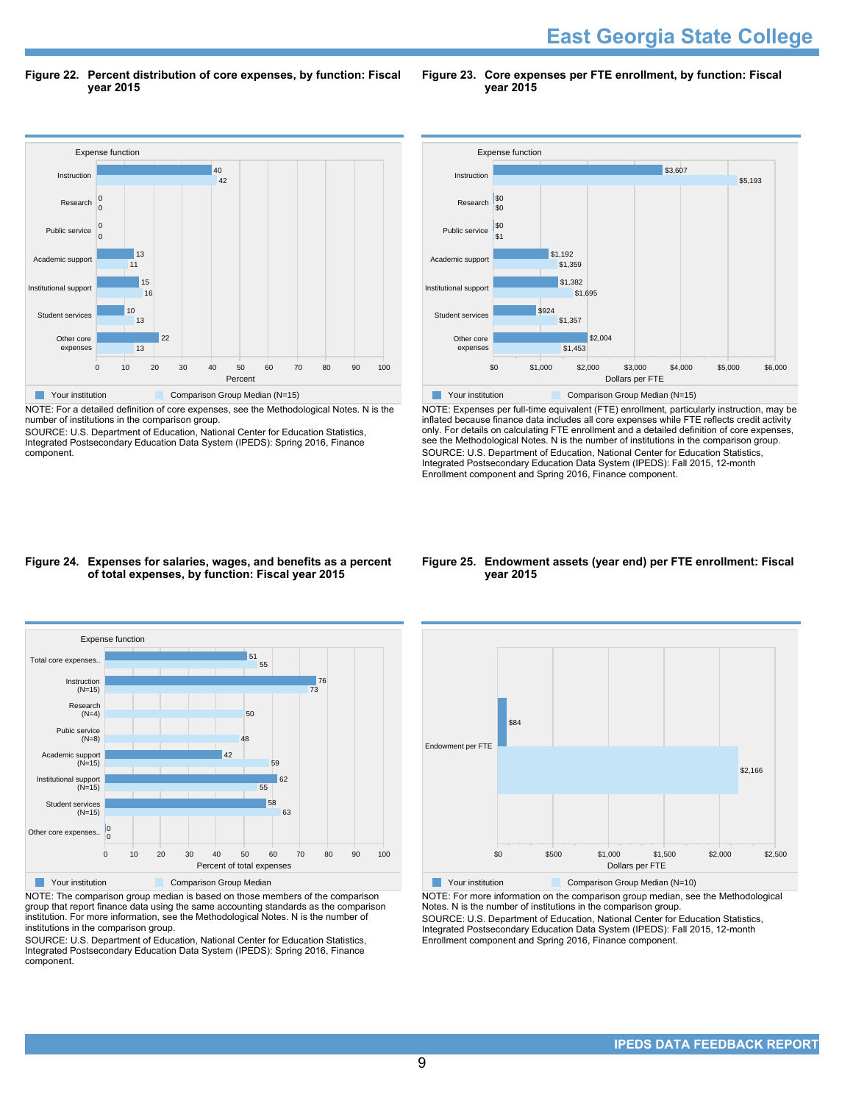**East Georgia State College** 

**Figure 22. Percent distribution of core expenses, by function: Fiscal year 2015**

**Figure 23. Core expenses per FTE enrollment, by function: Fiscal year 2015**

![](_page_8_Figure_3.jpeg)

NOTE: For a detailed definition of core expenses, see the Methodological Notes. N is the number of institutions in the comparison group.

SOURCE: U.S. Department of Education, National Center for Education Statistics, Integrated Postsecondary Education Data System (IPEDS): Spring 2016, Finance component.

![](_page_8_Figure_6.jpeg)

NOTE: Expenses per full-time equivalent (FTE) enrollment, particularly instruction, may be inflated because finance data includes all core expenses while FTE reflects credit activity only. For details on calculating FTE enrollment and a detailed definition of core expenses, see the Methodological Notes. N is the number of institutions in the comparison group. SOURCE: U.S. Department of Education, National Center for Education Statistics, Integrated Postsecondary Education Data System (IPEDS): Fall 2015, 12-month Enrollment component and Spring 2016, Finance component.

#### **Figure 24. Expenses for salaries, wages, and benefits as a percent of total expenses, by function: Fiscal year 2015**

![](_page_8_Figure_9.jpeg)

NOTE: The comparison group median is based on those members of the comparison group that report finance data using the same accounting standards as the comparison institution. For more information, see the Methodological Notes. N is the number of institutions in the comparison group.

SOURCE: U.S. Department of Education, National Center for Education Statistics, Integrated Postsecondary Education Data System (IPEDS): Spring 2016, Finance component.

#### **Figure 25. Endowment assets (year end) per FTE enrollment: Fiscal year 2015**

![](_page_8_Figure_13.jpeg)

NOTE: For more information on the comparison group median, see the Methodological Notes. N is the number of institutions in the comparison group. SOURCE: U.S. Department of Education, National Center for Education Statistics, Integrated Postsecondary Education Data System (IPEDS): Fall 2015, 12-month Enrollment component and Spring 2016, Finance component.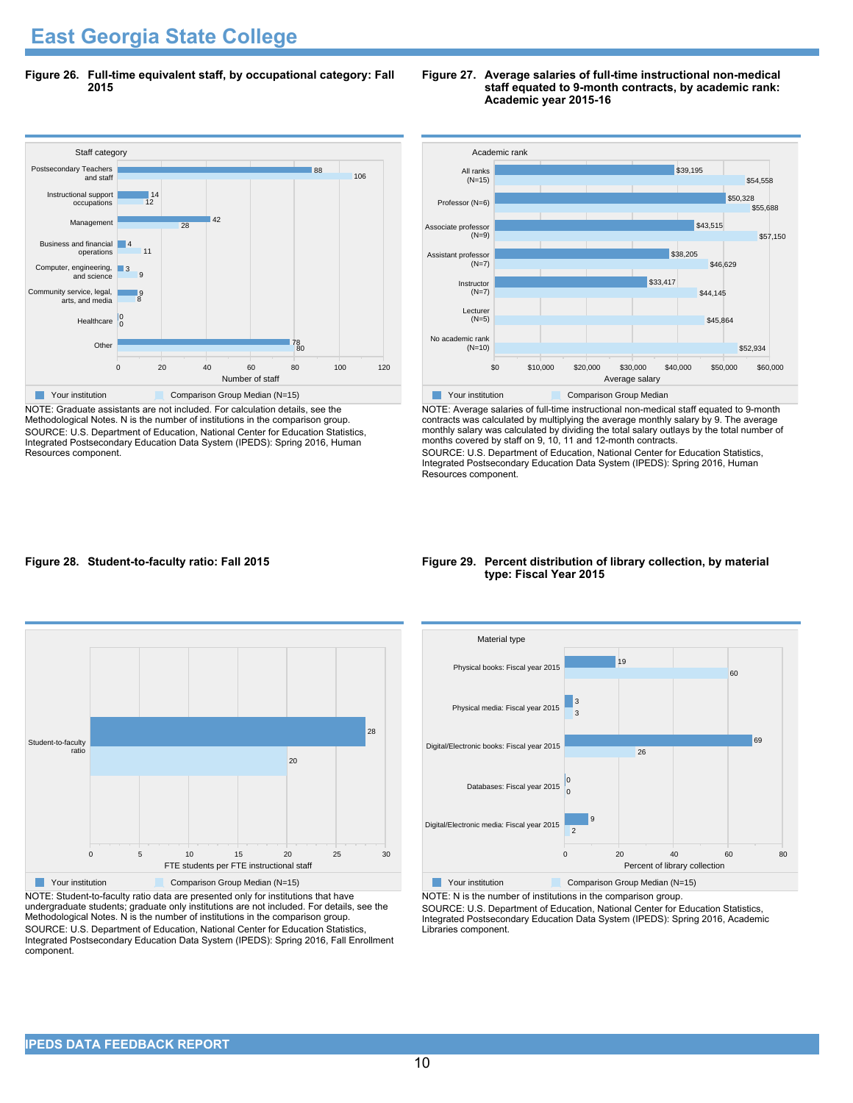## **East Georgia State College**

**Figure 26. Full-time equivalent staff, by occupational category: Fall 2015**

![](_page_9_Figure_2.jpeg)

NOTE: Graduate assistants are not included. For calculation details, see the Methodological Notes. N is the number of institutions in the comparison group. SOURCE: U.S. Department of Education, National Center for Education Statistics, Integrated Postsecondary Education Data System (IPEDS): Spring 2016, Human Resources component.

![](_page_9_Figure_4.jpeg)

![](_page_9_Figure_5.jpeg)

NOTE: Average salaries of full-time instructional non-medical staff equated to 9-month contracts was calculated by multiplying the average monthly salary by 9. The average monthly salary was calculated by dividing the total salary outlays by the total number of months covered by staff on 9, 10, 11 and 12-month contracts.

SOURCE: U.S. Department of Education, National Center for Education Statistics, Integrated Postsecondary Education Data System (IPEDS): Spring 2016, Human Resources component.

#### **Figure 28. Student-to-faculty ratio: Fall 2015**

![](_page_9_Figure_9.jpeg)

NOTE: Student-to-faculty ratio data are presented only for institutions that have undergraduate students; graduate only institutions are not included. For details, see the Methodological Notes. N is the number of institutions in the comparison group. SOURCE: U.S. Department of Education, National Center for Education Statistics, Integrated Postsecondary Education Data System (IPEDS): Spring 2016, Fall Enrollment component.

#### **Figure 29. Percent distribution of library collection, by material type: Fiscal Year 2015**

![](_page_9_Figure_12.jpeg)

Your institution Comparison Group Median (N=15)

NOTE: N is the number of institutions in the comparison group. SOURCE: U.S. Department of Education, National Center for Education Statistics,

Integrated Postsecondary Education Data System (IPEDS): Spring 2016, Academic Libraries component.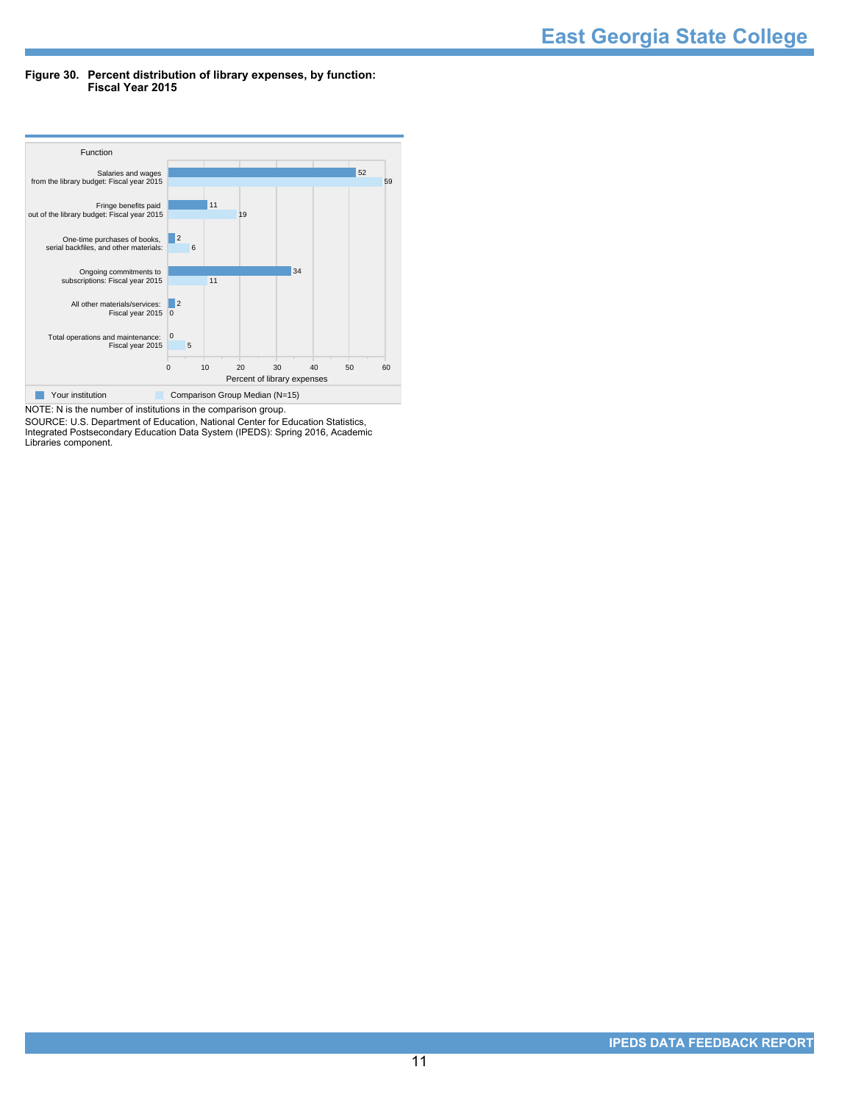#### **Figure 30. Percent distribution of library expenses, by function: Fiscal Year 2015**

![](_page_10_Figure_2.jpeg)

NOTE: N is the number of institutions in the comparison group. SOURCE: U.S. Department of Education, National Center for Education Statistics, Integrated Postsecondary Education Data System (IPEDS): Spring 2016, Academic Libraries component.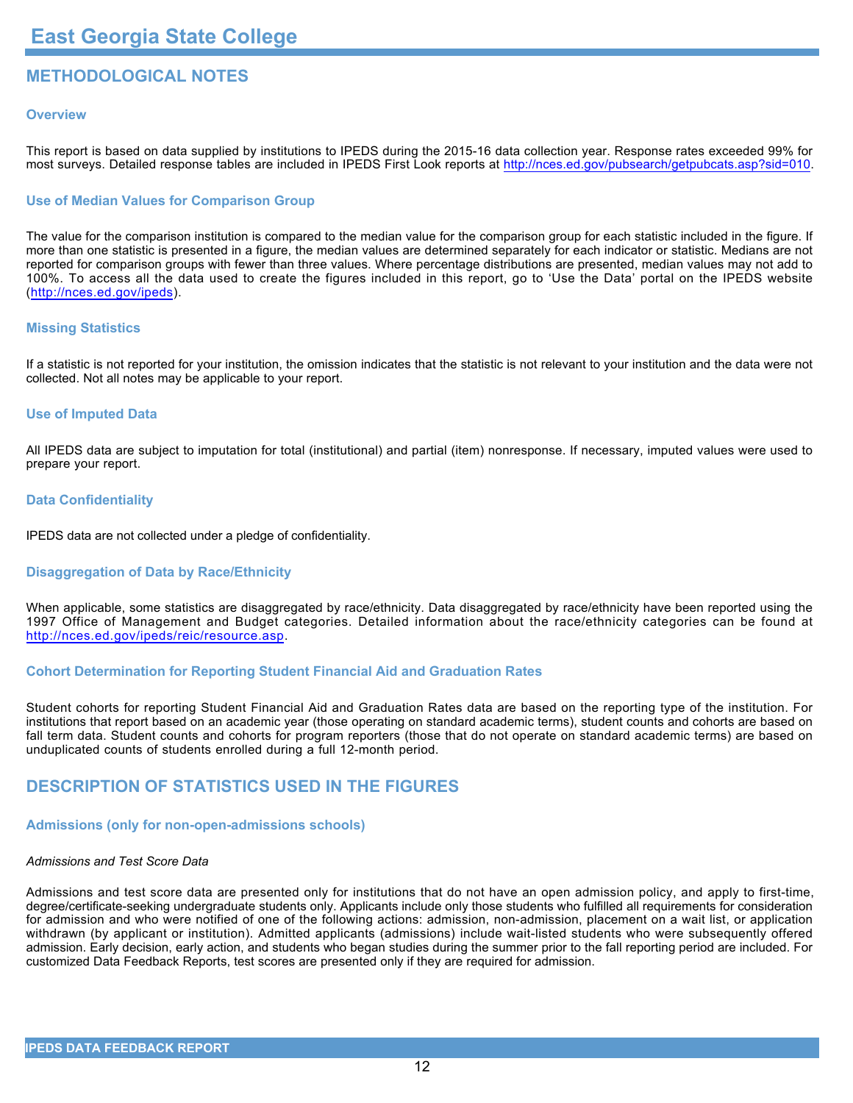### **METHODOLOGICAL NOTES**

#### **Overview**

This report is based on data supplied by institutions to IPEDS during the 2015-16 data collection year. Response rates exceeded 99% for most surveys. Detailed response tables are included in IPEDS First Look reports at <http://nces.ed.gov/pubsearch/getpubcats.asp?sid=010>.

#### **Use of Median Values for Comparison Group**

The value for the comparison institution is compared to the median value for the comparison group for each statistic included in the figure. If more than one statistic is presented in a figure, the median values are determined separately for each indicator or statistic. Medians are not reported for comparison groups with fewer than three values. Where percentage distributions are presented, median values may not add to 100%. To access all the data used to create the figures included in this report, go to 'Use the Data' portal on the IPEDS website (<http://nces.ed.gov/ipeds>).

#### **Missing Statistics**

If a statistic is not reported for your institution, the omission indicates that the statistic is not relevant to your institution and the data were not collected. Not all notes may be applicable to your report.

#### **Use of Imputed Data**

All IPEDS data are subject to imputation for total (institutional) and partial (item) nonresponse. If necessary, imputed values were used to prepare your report.

#### **Data Confidentiality**

IPEDS data are not collected under a pledge of confidentiality.

#### **Disaggregation of Data by Race/Ethnicity**

When applicable, some statistics are disaggregated by race/ethnicity. Data disaggregated by race/ethnicity have been reported using the 1997 Office of Management and Budget categories. Detailed information about the race/ethnicity categories can be found at <http://nces.ed.gov/ipeds/reic/resource.asp>.

#### **Cohort Determination for Reporting Student Financial Aid and Graduation Rates**

Student cohorts for reporting Student Financial Aid and Graduation Rates data are based on the reporting type of the institution. For institutions that report based on an academic year (those operating on standard academic terms), student counts and cohorts are based on fall term data. Student counts and cohorts for program reporters (those that do not operate on standard academic terms) are based on unduplicated counts of students enrolled during a full 12-month period.

#### **DESCRIPTION OF STATISTICS USED IN THE FIGURES**

#### **Admissions (only for non-open-admissions schools)**

#### *Admissions and Test Score Data*

Admissions and test score data are presented only for institutions that do not have an open admission policy, and apply to first-time, degree/certificate-seeking undergraduate students only. Applicants include only those students who fulfilled all requirements for consideration for admission and who were notified of one of the following actions: admission, non-admission, placement on a wait list, or application withdrawn (by applicant or institution). Admitted applicants (admissions) include wait-listed students who were subsequently offered admission. Early decision, early action, and students who began studies during the summer prior to the fall reporting period are included. For customized Data Feedback Reports, test scores are presented only if they are required for admission.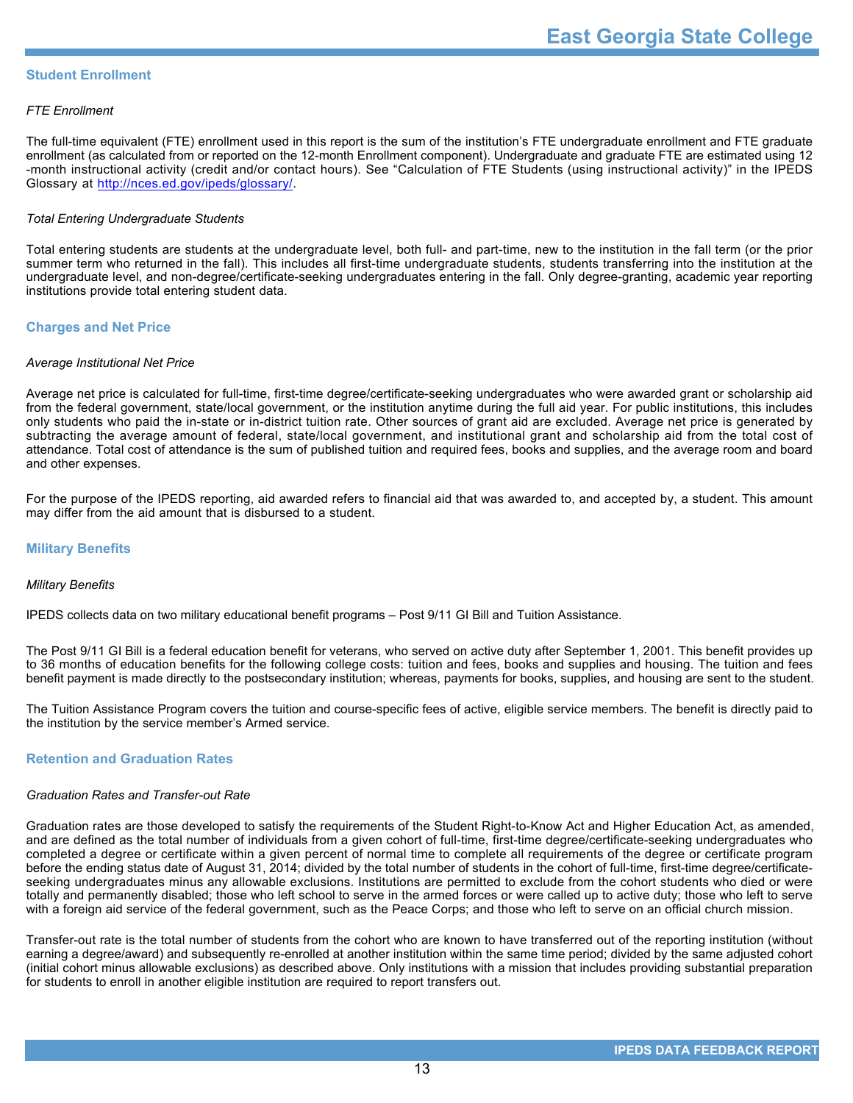#### **Student Enrollment**

#### *FTE Enrollment*

The full-time equivalent (FTE) enrollment used in this report is the sum of the institution's FTE undergraduate enrollment and FTE graduate enrollment (as calculated from or reported on the 12-month Enrollment component). Undergraduate and graduate FTE are estimated using 12 -month instructional activity (credit and/or contact hours). See "Calculation of FTE Students (using instructional activity)" in the IPEDS Glossary at <http://nces.ed.gov/ipeds/glossary/>.

#### *Total Entering Undergraduate Students*

Total entering students are students at the undergraduate level, both full- and part-time, new to the institution in the fall term (or the prior summer term who returned in the fall). This includes all first-time undergraduate students, students transferring into the institution at the undergraduate level, and non-degree/certificate-seeking undergraduates entering in the fall. Only degree-granting, academic year reporting institutions provide total entering student data.

#### **Charges and Net Price**

#### *Average Institutional Net Price*

Average net price is calculated for full-time, first-time degree/certificate-seeking undergraduates who were awarded grant or scholarship aid from the federal government, state/local government, or the institution anytime during the full aid year. For public institutions, this includes only students who paid the in-state or in-district tuition rate. Other sources of grant aid are excluded. Average net price is generated by subtracting the average amount of federal, state/local government, and institutional grant and scholarship aid from the total cost of attendance. Total cost of attendance is the sum of published tuition and required fees, books and supplies, and the average room and board and other expenses.

For the purpose of the IPEDS reporting, aid awarded refers to financial aid that was awarded to, and accepted by, a student. This amount may differ from the aid amount that is disbursed to a student.

#### **Military Benefits**

#### *Military Benefits*

IPEDS collects data on two military educational benefit programs – Post 9/11 GI Bill and Tuition Assistance.

The Post 9/11 GI Bill is a federal education benefit for veterans, who served on active duty after September 1, 2001. This benefit provides up to 36 months of education benefits for the following college costs: tuition and fees, books and supplies and housing. The tuition and fees benefit payment is made directly to the postsecondary institution; whereas, payments for books, supplies, and housing are sent to the student.

The Tuition Assistance Program covers the tuition and course-specific fees of active, eligible service members. The benefit is directly paid to the institution by the service member's Armed service.

#### **Retention and Graduation Rates**

#### *Graduation Rates and Transfer-out Rate*

Graduation rates are those developed to satisfy the requirements of the Student Right-to-Know Act and Higher Education Act, as amended, and are defined as the total number of individuals from a given cohort of full-time, first-time degree/certificate-seeking undergraduates who completed a degree or certificate within a given percent of normal time to complete all requirements of the degree or certificate program before the ending status date of August 31, 2014; divided by the total number of students in the cohort of full-time, first-time degree/certificateseeking undergraduates minus any allowable exclusions. Institutions are permitted to exclude from the cohort students who died or were totally and permanently disabled; those who left school to serve in the armed forces or were called up to active duty; those who left to serve with a foreign aid service of the federal government, such as the Peace Corps; and those who left to serve on an official church mission.

Transfer-out rate is the total number of students from the cohort who are known to have transferred out of the reporting institution (without earning a degree/award) and subsequently re-enrolled at another institution within the same time period; divided by the same adjusted cohort (initial cohort minus allowable exclusions) as described above. Only institutions with a mission that includes providing substantial preparation for students to enroll in another eligible institution are required to report transfers out.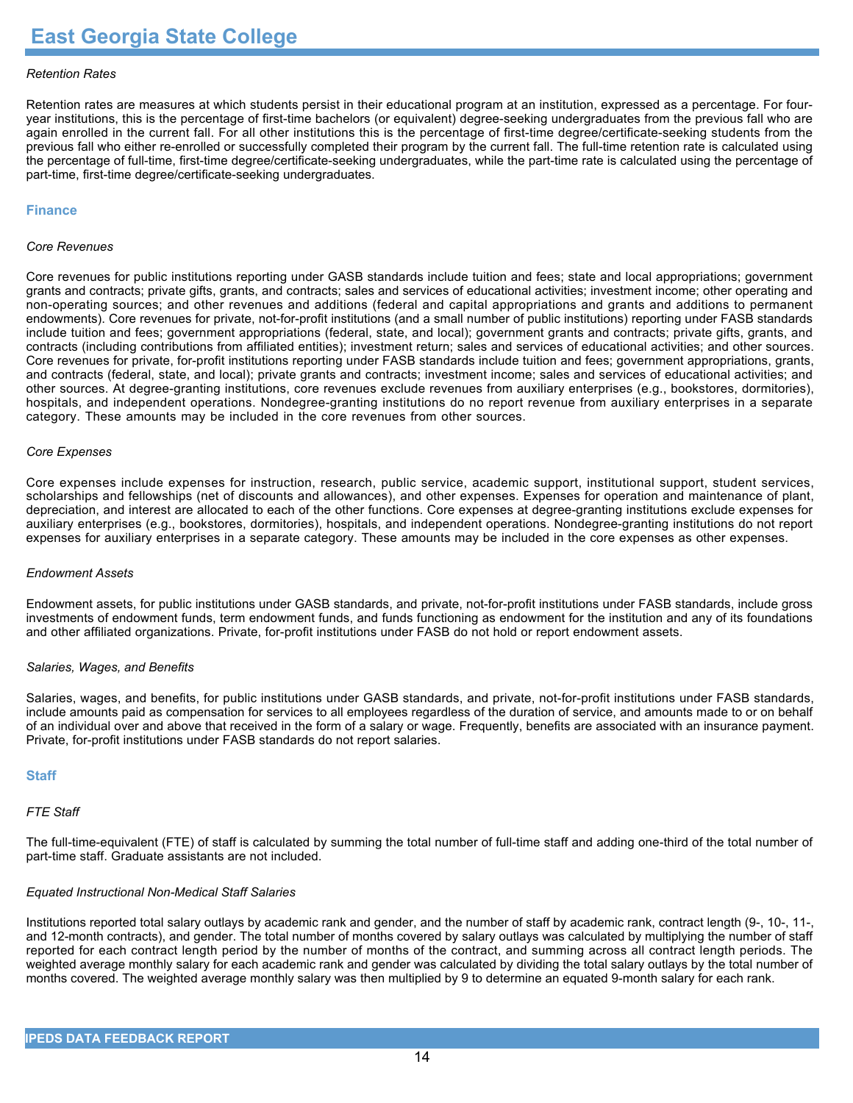#### *Retention Rates*

Retention rates are measures at which students persist in their educational program at an institution, expressed as a percentage. For fouryear institutions, this is the percentage of first-time bachelors (or equivalent) degree-seeking undergraduates from the previous fall who are again enrolled in the current fall. For all other institutions this is the percentage of first-time degree/certificate-seeking students from the previous fall who either re-enrolled or successfully completed their program by the current fall. The full-time retention rate is calculated using the percentage of full-time, first-time degree/certificate-seeking undergraduates, while the part-time rate is calculated using the percentage of part-time, first-time degree/certificate-seeking undergraduates.

#### **Finance**

#### *Core Revenues*

Core revenues for public institutions reporting under GASB standards include tuition and fees; state and local appropriations; government grants and contracts; private gifts, grants, and contracts; sales and services of educational activities; investment income; other operating and non-operating sources; and other revenues and additions (federal and capital appropriations and grants and additions to permanent endowments). Core revenues for private, not-for-profit institutions (and a small number of public institutions) reporting under FASB standards include tuition and fees; government appropriations (federal, state, and local); government grants and contracts; private gifts, grants, and contracts (including contributions from affiliated entities); investment return; sales and services of educational activities; and other sources. Core revenues for private, for-profit institutions reporting under FASB standards include tuition and fees; government appropriations, grants, and contracts (federal, state, and local); private grants and contracts; investment income; sales and services of educational activities; and other sources. At degree-granting institutions, core revenues exclude revenues from auxiliary enterprises (e.g., bookstores, dormitories), hospitals, and independent operations. Nondegree-granting institutions do no report revenue from auxiliary enterprises in a separate category. These amounts may be included in the core revenues from other sources.

#### *Core Expenses*

Core expenses include expenses for instruction, research, public service, academic support, institutional support, student services, scholarships and fellowships (net of discounts and allowances), and other expenses. Expenses for operation and maintenance of plant, depreciation, and interest are allocated to each of the other functions. Core expenses at degree-granting institutions exclude expenses for auxiliary enterprises (e.g., bookstores, dormitories), hospitals, and independent operations. Nondegree-granting institutions do not report expenses for auxiliary enterprises in a separate category. These amounts may be included in the core expenses as other expenses.

#### *Endowment Assets*

Endowment assets, for public institutions under GASB standards, and private, not-for-profit institutions under FASB standards, include gross investments of endowment funds, term endowment funds, and funds functioning as endowment for the institution and any of its foundations and other affiliated organizations. Private, for-profit institutions under FASB do not hold or report endowment assets.

#### *Salaries, Wages, and Benefits*

Salaries, wages, and benefits, for public institutions under GASB standards, and private, not-for-profit institutions under FASB standards, include amounts paid as compensation for services to all employees regardless of the duration of service, and amounts made to or on behalf of an individual over and above that received in the form of a salary or wage. Frequently, benefits are associated with an insurance payment. Private, for-profit institutions under FASB standards do not report salaries.

#### **Staff**

#### *FTE Staff*

The full-time-equivalent (FTE) of staff is calculated by summing the total number of full-time staff and adding one-third of the total number of part-time staff. Graduate assistants are not included.

#### *Equated Instructional Non-Medical Staff Salaries*

Institutions reported total salary outlays by academic rank and gender, and the number of staff by academic rank, contract length (9-, 10-, 11-, and 12-month contracts), and gender. The total number of months covered by salary outlays was calculated by multiplying the number of staff reported for each contract length period by the number of months of the contract, and summing across all contract length periods. The weighted average monthly salary for each academic rank and gender was calculated by dividing the total salary outlays by the total number of months covered. The weighted average monthly salary was then multiplied by 9 to determine an equated 9-month salary for each rank.